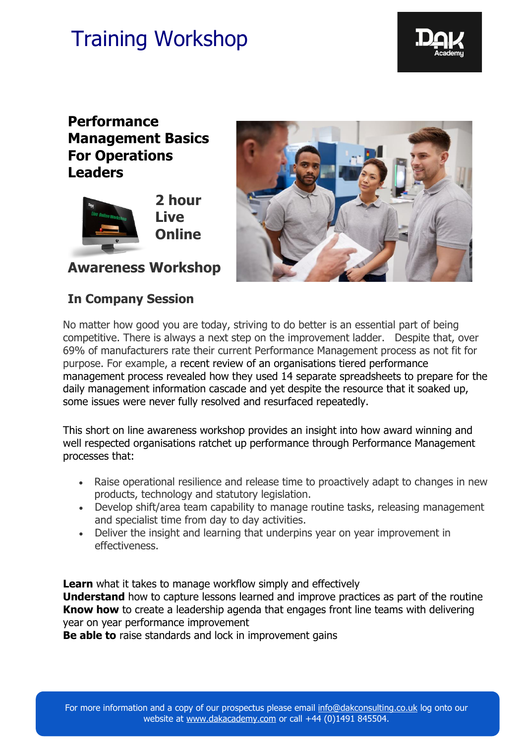

### **Performance Management Basics For Operations Leaders**



**Awareness Workshop**

### **In Company Session**



No matter how good you are today, striving to do better is an essential part of being competitive. There is always a next step on the improvement ladder. Despite that, over 69% of manufacturers rate their current Performance Management process as not fit for purpose. For example, a recent review of an organisations tiered performance management process revealed how they used 14 separate spreadsheets to prepare for the daily management information cascade and yet despite the resource that it soaked up, some issues were never fully resolved and resurfaced repeatedly.

This short on line awareness workshop provides an insight into how award winning and well respected organisations ratchet up performance through Performance Management processes that:

- Raise operational resilience and release time to proactively adapt to changes in new products, technology and statutory legislation.
- Develop shift/area team capability to manage routine tasks, releasing management and specialist time from day to day activities.
- Deliver the insight and learning that underpins year on year improvement in effectiveness.

**Learn** what it takes to manage workflow simply and effectively **Understand** how to capture lessons learned and improve practices as part of the routine **Know how** to create a leadership agenda that engages front line teams with delivering year on year performance improvement

**Be able to** raise standards and lock in improvement gains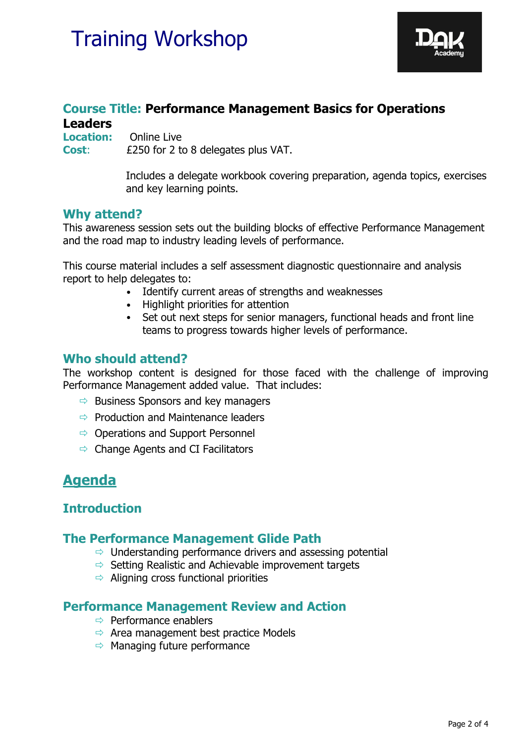

### **Course Title: Performance Management Basics for Operations Leaders**

**Location:** Online Live **Cost**: £250 for 2 to 8 delegates plus VAT.

> Includes a delegate workbook covering preparation, agenda topics, exercises and key learning points.

### **Why attend?**

This awareness session sets out the building blocks of effective Performance Management and the road map to industry leading levels of performance.

This course material includes a self assessment diagnostic questionnaire and analysis report to help delegates to:

- Identify current areas of strengths and weaknesses
- Highlight priorities for attention
- Set out next steps for senior managers, functional heads and front line teams to progress towards higher levels of performance.

### **Who should attend?**

The workshop content is designed for those faced with the challenge of improving Performance Management added value. That includes:

- $\Rightarrow$  Business Sponsors and key managers
- $\Rightarrow$  Production and Maintenance leaders
- $\Rightarrow$  Operations and Support Personnel
- $\Rightarrow$  Change Agents and CI Facilitators

### **Agenda**

### **Introduction**

### **The Performance Management Glide Path**

- $\Rightarrow$  Understanding performance drivers and assessing potential
- $\Rightarrow$  Setting Realistic and Achievable improvement targets
- $\Rightarrow$  Aligning cross functional priorities

### **Performance Management Review and Action**

- $\Rightarrow$  Performance enablers
- $\Rightarrow$  Area management best practice Models
- $\Rightarrow$  Managing future performance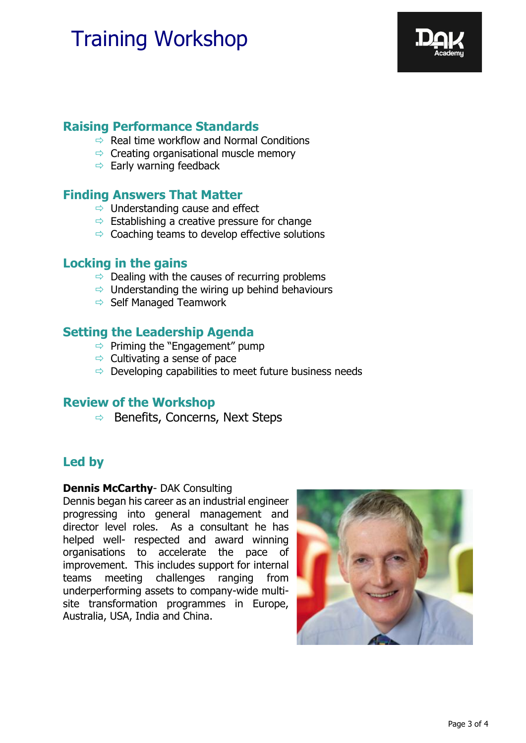

### **Raising Performance Standards**

- $\Rightarrow$  Real time workflow and Normal Conditions
- $\Rightarrow$  Creating organisational muscle memory
- $\Rightarrow$  Early warning feedback

### **Finding Answers That Matter**

- $\Rightarrow$  Understanding cause and effect
- $\Rightarrow$  Establishing a creative pressure for change
- $\Rightarrow$  Coaching teams to develop effective solutions

### **Locking in the gains**

- $\Rightarrow$  Dealing with the causes of recurring problems
- $\Rightarrow$  Understanding the wiring up behind behaviours
- $\Rightarrow$  Self Managed Teamwork

### **Setting the Leadership Agenda**

- $\Rightarrow$  Priming the "Engagement" pump
- $\Rightarrow$  Cultivating a sense of pace
- $\Rightarrow$  Developing capabilities to meet future business needs

### **Review of the Workshop**

 $\Rightarrow$  Benefits, Concerns, Next Steps

### **Led by**

#### **Dennis McCarthy**- DAK Consulting

Dennis began his career as an industrial engineer progressing into general management and director level roles. As a consultant he has helped well- respected and award winning organisations to accelerate the pace of improvement. This includes support for internal teams meeting challenges ranging from underperforming assets to company-wide multisite transformation programmes in Europe, Australia, USA, India and China.